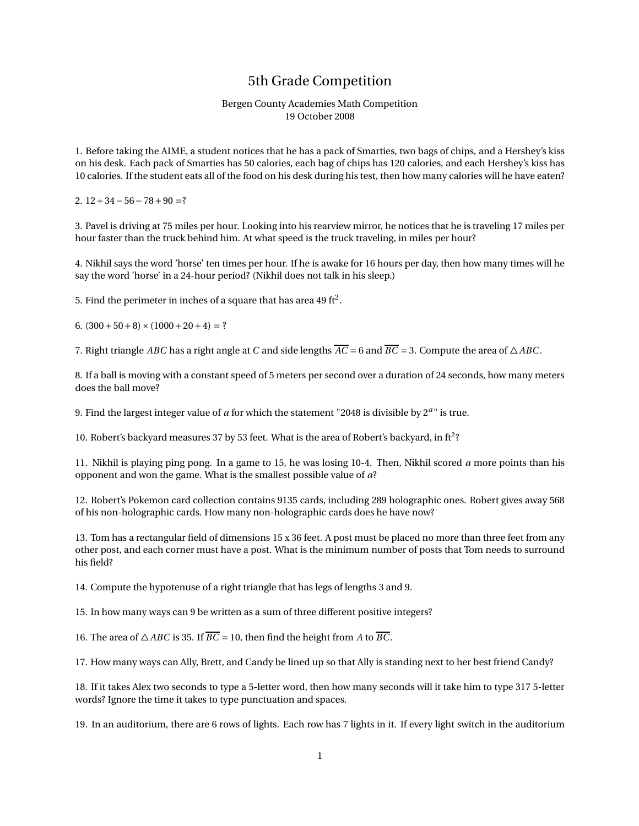## 5th Grade Competition

## Bergen County Academies Math Competition 19 October 2008

1. Before taking the AIME, a student notices that he has a pack of Smarties, two bags of chips, and a Hershey's kiss on his desk. Each pack of Smarties has 50 calories, each bag of chips has 120 calories, and each Hershey's kiss has 10 calories. If the student eats all of the food on his desk during his test, then how many calories will he have eaten?

2.  $12+34-56-78+90=?$ 

3. Pavel is driving at 75 miles per hour. Looking into his rearview mirror, he notices that he is traveling 17 miles per hour faster than the truck behind him. At what speed is the truck traveling, in miles per hour?

4. Nikhil says the word 'horse' ten times per hour. If he is awake for 16 hours per day, then how many times will he say the word 'horse' in a 24-hour period? (Nikhil does not talk in his sleep.)

5. Find the perimeter in inches of a square that has area 49 ft<sup>2</sup>.

6.  $(300+50+8) \times (1000+20+4) = ?$ 

7. Right triangle *ABC* has a right angle at *C* and side lengths  $\overline{AC} = 6$  and  $\overline{BC} = 3$ . Compute the area of  $\triangle ABC$ .

8. If a ball is moving with a constant speed of 5 meters per second over a duration of 24 seconds, how many meters does the ball move?

9. Find the largest integer value of *a* for which the statement "2048 is divisible by 2*<sup>a</sup>* " is true.

10. Robert's backyard measures 37 by 53 feet. What is the area of Robert's backyard, in ft<sup>2</sup>?

11. Nikhil is playing ping pong. In a game to 15, he was losing 10-4. Then, Nikhil scored *a* more points than his opponent and won the game. What is the smallest possible value of *a*?

12. Robert's Pokemon card collection contains 9135 cards, including 289 holographic ones. Robert gives away 568 of his non-holographic cards. How many non-holographic cards does he have now?

13. Tom has a rectangular field of dimensions 15 x 36 feet. A post must be placed no more than three feet from any other post, and each corner must have a post. What is the minimum number of posts that Tom needs to surround his field?

14. Compute the hypotenuse of a right triangle that has legs of lengths 3 and 9.

15. In how many ways can 9 be written as a sum of three different positive integers?

16. The area of  $\triangle ABC$  is 35. If  $\overline{BC} = 10$ , then find the height from *A* to  $\overline{BC}$ .

17. How many ways can Ally, Brett, and Candy be lined up so that Ally is standing next to her best friend Candy?

18. If it takes Alex two seconds to type a 5-letter word, then how many seconds will it take him to type 317 5-letter words? Ignore the time it takes to type punctuation and spaces.

19. In an auditorium, there are 6 rows of lights. Each row has 7 lights in it. If every light switch in the auditorium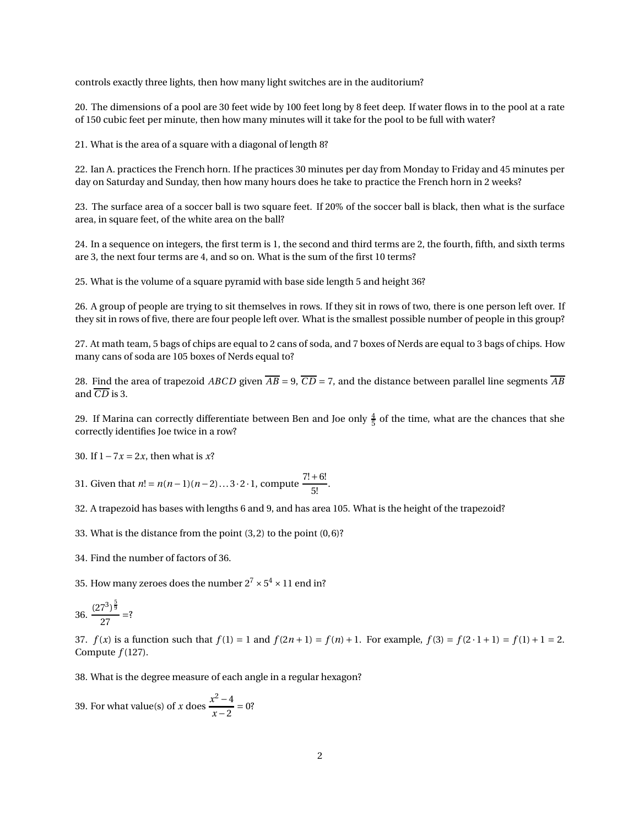controls exactly three lights, then how many light switches are in the auditorium?

20. The dimensions of a pool are 30 feet wide by 100 feet long by 8 feet deep. If water flows in to the pool at a rate of 150 cubic feet per minute, then how many minutes will it take for the pool to be full with water?

21. What is the area of a square with a diagonal of length 8?

22. Ian A. practices the French horn. If he practices 30 minutes per day from Monday to Friday and 45 minutes per day on Saturday and Sunday, then how many hours does he take to practice the French horn in 2 weeks?

23. The surface area of a soccer ball is two square feet. If 20% of the soccer ball is black, then what is the surface area, in square feet, of the white area on the ball?

24. In a sequence on integers, the first term is 1, the second and third terms are 2, the fourth, fifth, and sixth terms are 3, the next four terms are 4, and so on. What is the sum of the first 10 terms?

25. What is the volume of a square pyramid with base side length 5 and height 36?

26. A group of people are trying to sit themselves in rows. If they sit in rows of two, there is one person left over. If they sit in rows of five, there are four people left over. What is the smallest possible number of people in this group?

27. At math team, 5 bags of chips are equal to 2 cans of soda, and 7 boxes of Nerds are equal to 3 bags of chips. How many cans of soda are 105 boxes of Nerds equal to?

28. Find the area of trapezoid *ABCD* given  $\overline{AB} = 9$ ,  $\overline{CD} = 7$ , and the distance between parallel line segments  $\overline{AB}$ and  $\overline{CD}$  is 3.

29. If Marina can correctly differentiate between Ben and Joe only  $\frac{4}{5}$  of the time, what are the chances that she correctly identifies Joe twice in a row?

30. If 1−7*x* = 2*x*, then what is *x*?

31. Given that  $n! = n(n-1)(n-2)...3 \cdot 2 \cdot 1$ , compute  $\frac{7!+6!}{5!}$  $\frac{1}{5!}$ .

32. A trapezoid has bases with lengths 6 and 9, and has area 105. What is the height of the trapezoid?

33. What is the distance from the point (3,2) to the point (0,6)?

34. Find the number of factors of 36.

35. How many zeroes does the number  $2^7 \times 5^4 \times 11$  end in?

$$
36. \ \frac{(27^3)^{\frac{5}{9}}}{27} = ?
$$

37.  $f(x)$  is a function such that  $f(1) = 1$  and  $f(2n + 1) = f(n) + 1$ . For example,  $f(3) = f(2 \cdot 1 + 1) = f(1) + 1 = 2$ . Compute *f* (127).

38. What is the degree measure of each angle in a regular hexagon?

39. For what value(s) of *x* does  $\frac{x^2-4}{x^2-2}$  $\frac{x-2}{x-2} = 0$ ?